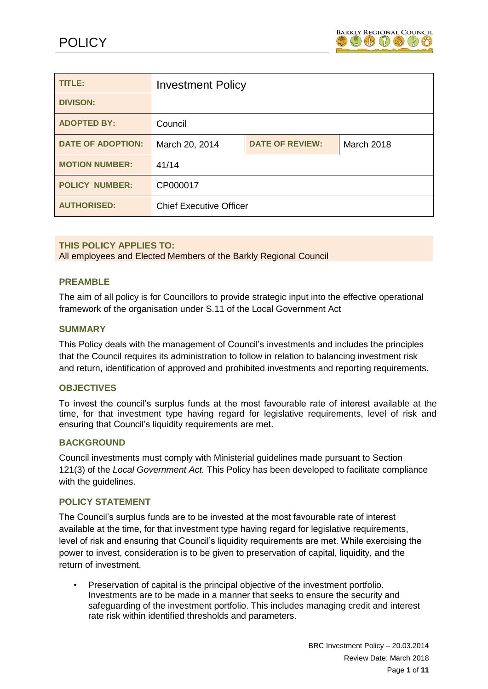

| TITLE:                   | <b>Investment Policy</b>                                      |  |  |  |
|--------------------------|---------------------------------------------------------------|--|--|--|
| <b>DIVISON:</b>          |                                                               |  |  |  |
| <b>ADOPTED BY:</b>       | Council                                                       |  |  |  |
| <b>DATE OF ADOPTION:</b> | <b>DATE OF REVIEW:</b><br>March 20, 2014<br><b>March 2018</b> |  |  |  |
| <b>MOTION NUMBER:</b>    | 41/14                                                         |  |  |  |
| <b>POLICY NUMBER:</b>    | CP000017                                                      |  |  |  |
| <b>AUTHORISED:</b>       | <b>Chief Executive Officer</b>                                |  |  |  |

### **THIS POLICY APPLIES TO:**

All employees and Elected Members of the Barkly Regional Council

#### **PREAMBLE**

The aim of all policy is for Councillors to provide strategic input into the effective operational framework of the organisation under S.11 of the Local Government Act

#### **SUMMARY**

This Policy deals with the management of Council's investments and includes the principles that the Council requires its administration to follow in relation to balancing investment risk and return, identification of approved and prohibited investments and reporting requirements.

#### **OBJECTIVES**

To invest the council's surplus funds at the most favourable rate of interest available at the time, for that investment type having regard for legislative requirements, level of risk and ensuring that Council's liquidity requirements are met.

#### **BACKGROUND**

Council investments must comply with Ministerial guidelines made pursuant to Section 121(3) of the *Local Government Act.* This Policy has been developed to facilitate compliance with the guidelines.

#### **POLICY STATEMENT**

The Council's surplus funds are to be invested at the most favourable rate of interest available at the time, for that investment type having regard for legislative requirements, level of risk and ensuring that Council's liquidity requirements are met. While exercising the power to invest, consideration is to be given to preservation of capital, liquidity, and the return of investment.

• Preservation of capital is the principal objective of the investment portfolio. Investments are to be made in a manner that seeks to ensure the security and safeguarding of the investment portfolio. This includes managing credit and interest rate risk within identified thresholds and parameters.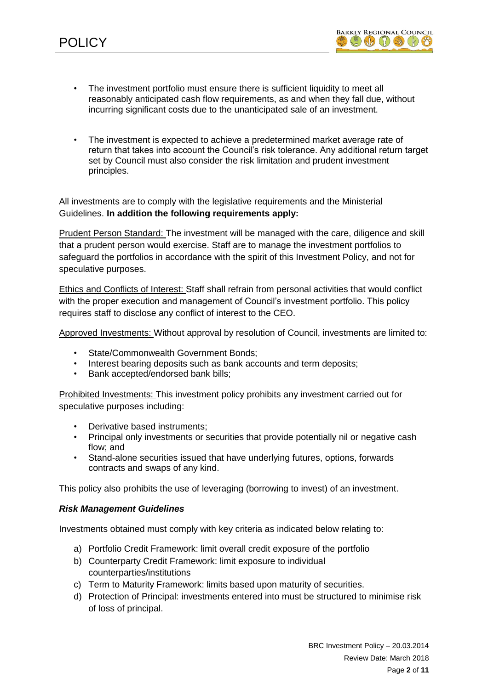

- The investment portfolio must ensure there is sufficient liquidity to meet all reasonably anticipated cash flow requirements, as and when they fall due, without incurring significant costs due to the unanticipated sale of an investment.
- The investment is expected to achieve a predetermined market average rate of return that takes into account the Council's risk tolerance. Any additional return target set by Council must also consider the risk limitation and prudent investment principles.

All investments are to comply with the legislative requirements and the Ministerial Guidelines. **In addition the following requirements apply:** 

Prudent Person Standard: The investment will be managed with the care, diligence and skill that a prudent person would exercise. Staff are to manage the investment portfolios to safeguard the portfolios in accordance with the spirit of this Investment Policy, and not for speculative purposes.

Ethics and Conflicts of Interest: Staff shall refrain from personal activities that would conflict with the proper execution and management of Council's investment portfolio. This policy requires staff to disclose any conflict of interest to the CEO.

Approved Investments: Without approval by resolution of Council, investments are limited to:

- State/Commonwealth Government Bonds;
- Interest bearing deposits such as bank accounts and term deposits;
- Bank accepted/endorsed bank bills;

Prohibited Investments: This investment policy prohibits any investment carried out for speculative purposes including:

- Derivative based instruments:
- Principal only investments or securities that provide potentially nil or negative cash flow; and
- Stand-alone securities issued that have underlying futures, options, forwards contracts and swaps of any kind.

This policy also prohibits the use of leveraging (borrowing to invest) of an investment.

### *Risk Management Guidelines*

Investments obtained must comply with key criteria as indicated below relating to:

- a) Portfolio Credit Framework: limit overall credit exposure of the portfolio
- b) Counterparty Credit Framework: limit exposure to individual counterparties/institutions
- c) Term to Maturity Framework: limits based upon maturity of securities.
- d) Protection of Principal: investments entered into must be structured to minimise risk of loss of principal.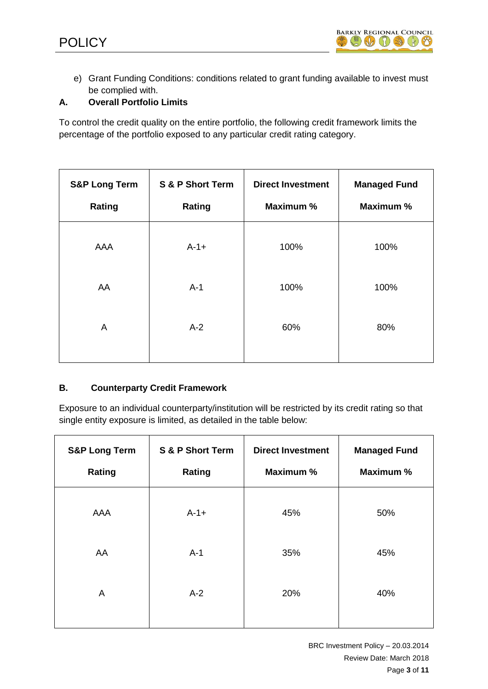

e) Grant Funding Conditions: conditions related to grant funding available to invest must be complied with.

## **A. Overall Portfolio Limits**

To control the credit quality on the entire portfolio, the following credit framework limits the percentage of the portfolio exposed to any particular credit rating category.

| <b>S&amp;P Long Term</b><br>Rating | S & P Short Term<br>Rating | <b>Direct Investment</b><br>Maximum % | <b>Managed Fund</b><br>Maximum % |
|------------------------------------|----------------------------|---------------------------------------|----------------------------------|
| AAA                                | $A - 1 +$                  | 100%                                  | 100%                             |
| AA                                 | $A-1$                      | 100%                                  | 100%                             |
| $\overline{A}$                     | $A-2$                      | 60%                                   | 80%                              |
|                                    |                            |                                       |                                  |

## **B. Counterparty Credit Framework**

Exposure to an individual counterparty/institution will be restricted by its credit rating so that single entity exposure is limited, as detailed in the table below:

| <b>S&amp;P Long Term</b><br>Rating | S & P Short Term<br>Rating | <b>Direct Investment</b><br>Maximum % | <b>Managed Fund</b><br>Maximum % |
|------------------------------------|----------------------------|---------------------------------------|----------------------------------|
| AAA                                | $A - 1 +$                  | 45%                                   | 50%                              |
| AA                                 | $A-1$                      | 35%                                   | 45%                              |
| A                                  | $A-2$                      | 20%                                   | 40%                              |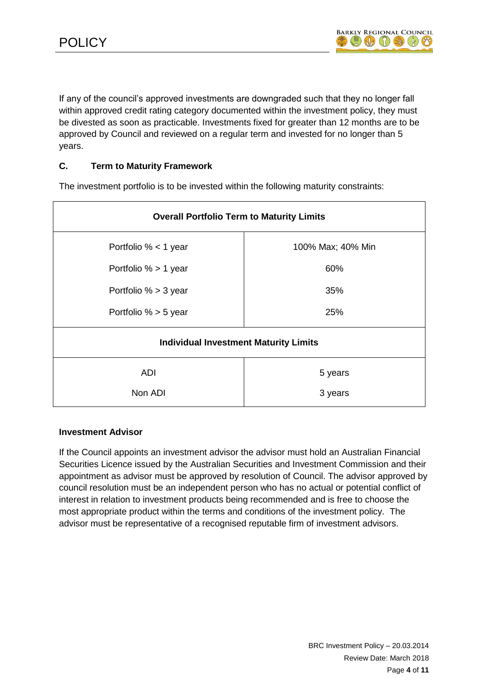If any of the council's approved investments are downgraded such that they no longer fall within approved credit rating category documented within the investment policy, they must be divested as soon as practicable. Investments fixed for greater than 12 months are to be approved by Council and reviewed on a regular term and invested for no longer than 5 years.

### **C. Term to Maturity Framework**

| <b>Overall Portfolio Term to Maturity Limits</b> |                   |  |  |
|--------------------------------------------------|-------------------|--|--|
| Portfolio $% < 1$ year                           | 100% Max; 40% Min |  |  |
| Portfolio % > 1 year                             | 60%               |  |  |
| Portfolio $% > 3$ year                           | 35%               |  |  |
| Portfolio $% > 5$ year                           | 25%               |  |  |
| <b>Individual Investment Maturity Limits</b>     |                   |  |  |
| <b>ADI</b>                                       | 5 years           |  |  |
| Non ADI                                          | 3 years           |  |  |

The investment portfolio is to be invested within the following maturity constraints:

### **Investment Advisor**

If the Council appoints an investment advisor the advisor must hold an Australian Financial Securities Licence issued by the Australian Securities and Investment Commission and their appointment as advisor must be approved by resolution of Council. The advisor approved by council resolution must be an independent person who has no actual or potential conflict of interest in relation to investment products being recommended and is free to choose the most appropriate product within the terms and conditions of the investment policy. The advisor must be representative of a recognised reputable firm of investment advisors.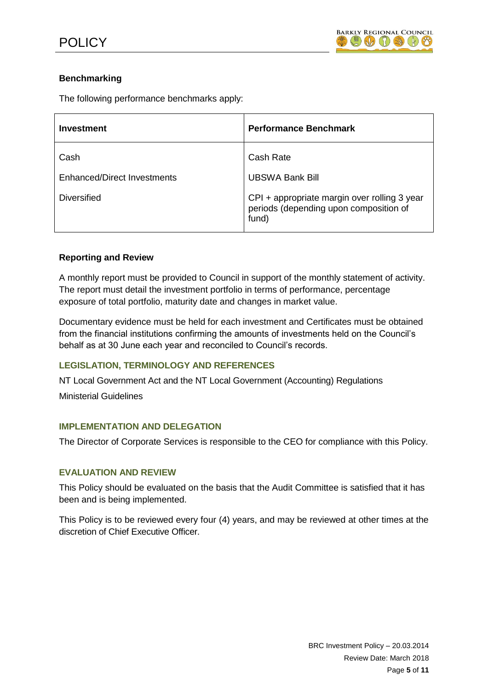# **Benchmarking**

The following performance benchmarks apply:

| Investment                  | <b>Performance Benchmark</b>                                                                    |
|-----------------------------|-------------------------------------------------------------------------------------------------|
| Cash                        | Cash Rate                                                                                       |
| Enhanced/Direct Investments | <b>UBSWA Bank Bill</b>                                                                          |
| <b>Diversified</b>          | CPI + appropriate margin over rolling 3 year<br>periods (depending upon composition of<br>fund) |

## **Reporting and Review**

A monthly report must be provided to Council in support of the monthly statement of activity. The report must detail the investment portfolio in terms of performance, percentage exposure of total portfolio, maturity date and changes in market value.

Documentary evidence must be held for each investment and Certificates must be obtained from the financial institutions confirming the amounts of investments held on the Council's behalf as at 30 June each year and reconciled to Council's records.

## **LEGISLATION, TERMINOLOGY AND REFERENCES**

NT Local Government Act and the NT Local Government (Accounting) Regulations

Ministerial Guidelines

### **IMPLEMENTATION AND DELEGATION**

The Director of Corporate Services is responsible to the CEO for compliance with this Policy.

### **EVALUATION AND REVIEW**

This Policy should be evaluated on the basis that the Audit Committee is satisfied that it has been and is being implemented.

This Policy is to be reviewed every four (4) years, and may be reviewed at other times at the discretion of Chief Executive Officer.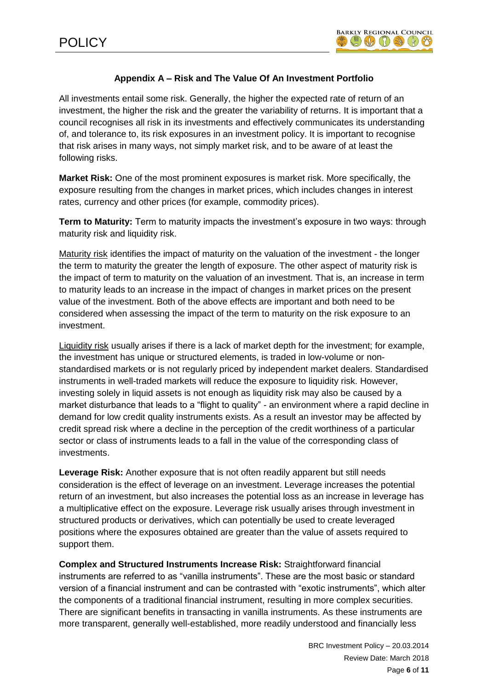# **Appendix A – Risk and The Value Of An Investment Portfolio**

All investments entail some risk. Generally, the higher the expected rate of return of an investment, the higher the risk and the greater the variability of returns. It is important that a council recognises all risk in its investments and effectively communicates its understanding of, and tolerance to, its risk exposures in an investment policy. It is important to recognise that risk arises in many ways, not simply market risk, and to be aware of at least the following risks.

**Market Risk:** One of the most prominent exposures is market risk. More specifically, the exposure resulting from the changes in market prices, which includes changes in interest rates, currency and other prices (for example, commodity prices).

**Term to Maturity:** Term to maturity impacts the investment's exposure in two ways: through maturity risk and liquidity risk.

Maturity risk identifies the impact of maturity on the valuation of the investment - the longer the term to maturity the greater the length of exposure. The other aspect of maturity risk is the impact of term to maturity on the valuation of an investment. That is, an increase in term to maturity leads to an increase in the impact of changes in market prices on the present value of the investment. Both of the above effects are important and both need to be considered when assessing the impact of the term to maturity on the risk exposure to an investment.

Liquidity risk usually arises if there is a lack of market depth for the investment; for example, the investment has unique or structured elements, is traded in low-volume or nonstandardised markets or is not regularly priced by independent market dealers. Standardised instruments in well-traded markets will reduce the exposure to liquidity risk. However, investing solely in liquid assets is not enough as liquidity risk may also be caused by a market disturbance that leads to a "flight to quality" - an environment where a rapid decline in demand for low credit quality instruments exists. As a result an investor may be affected by credit spread risk where a decline in the perception of the credit worthiness of a particular sector or class of instruments leads to a fall in the value of the corresponding class of investments.

**Leverage Risk:** Another exposure that is not often readily apparent but still needs consideration is the effect of leverage on an investment. Leverage increases the potential return of an investment, but also increases the potential loss as an increase in leverage has a multiplicative effect on the exposure. Leverage risk usually arises through investment in structured products or derivatives, which can potentially be used to create leveraged positions where the exposures obtained are greater than the value of assets required to support them.

**Complex and Structured Instruments Increase Risk:** Straightforward financial instruments are referred to as "vanilla instruments". These are the most basic or standard version of a financial instrument and can be contrasted with "exotic instruments", which alter the components of a traditional financial instrument, resulting in more complex securities. There are significant benefits in transacting in vanilla instruments. As these instruments are more transparent, generally well-established, more readily understood and financially less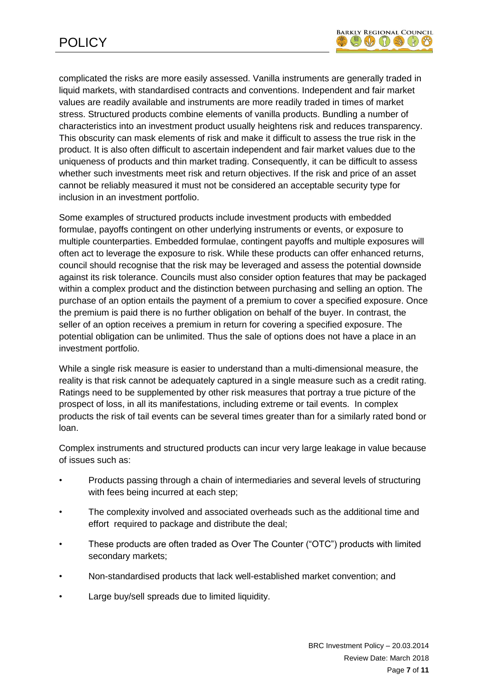

complicated the risks are more easily assessed. Vanilla instruments are generally traded in liquid markets, with standardised contracts and conventions. Independent and fair market values are readily available and instruments are more readily traded in times of market stress. Structured products combine elements of vanilla products. Bundling a number of characteristics into an investment product usually heightens risk and reduces transparency. This obscurity can mask elements of risk and make it difficult to assess the true risk in the product. It is also often difficult to ascertain independent and fair market values due to the uniqueness of products and thin market trading. Consequently, it can be difficult to assess whether such investments meet risk and return objectives. If the risk and price of an asset cannot be reliably measured it must not be considered an acceptable security type for inclusion in an investment portfolio.

Some examples of structured products include investment products with embedded formulae, payoffs contingent on other underlying instruments or events, or exposure to multiple counterparties. Embedded formulae, contingent payoffs and multiple exposures will often act to leverage the exposure to risk. While these products can offer enhanced returns, council should recognise that the risk may be leveraged and assess the potential downside against its risk tolerance. Councils must also consider option features that may be packaged within a complex product and the distinction between purchasing and selling an option. The purchase of an option entails the payment of a premium to cover a specified exposure. Once the premium is paid there is no further obligation on behalf of the buyer. In contrast, the seller of an option receives a premium in return for covering a specified exposure. The potential obligation can be unlimited. Thus the sale of options does not have a place in an investment portfolio.

While a single risk measure is easier to understand than a multi-dimensional measure, the reality is that risk cannot be adequately captured in a single measure such as a credit rating. Ratings need to be supplemented by other risk measures that portray a true picture of the prospect of loss, in all its manifestations, including extreme or tail events. In complex products the risk of tail events can be several times greater than for a similarly rated bond or loan.

Complex instruments and structured products can incur very large leakage in value because of issues such as:

- Products passing through a chain of intermediaries and several levels of structuring with fees being incurred at each step;
- The complexity involved and associated overheads such as the additional time and effort required to package and distribute the deal;
- These products are often traded as Over The Counter ("OTC") products with limited secondary markets;
- Non-standardised products that lack well-established market convention; and
- Large buy/sell spreads due to limited liquidity.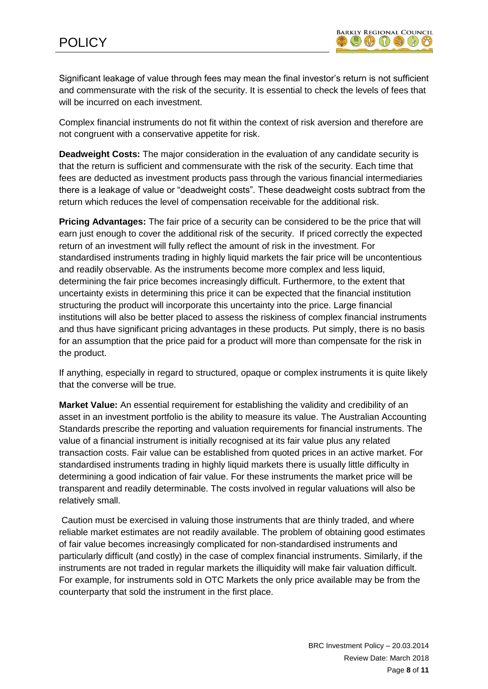Significant leakage of value through fees may mean the final investor's return is not sufficient and commensurate with the risk of the security. It is essential to check the levels of fees that will be incurred on each investment.

Complex financial instruments do not fit within the context of risk aversion and therefore are not congruent with a conservative appetite for risk.

**Deadweight Costs:** The major consideration in the evaluation of any candidate security is that the return is sufficient and commensurate with the risk of the security. Each time that fees are deducted as investment products pass through the various financial intermediaries there is a leakage of value or "deadweight costs". These deadweight costs subtract from the return which reduces the level of compensation receivable for the additional risk.

**Pricing Advantages:** The fair price of a security can be considered to be the price that will earn just enough to cover the additional risk of the security. If priced correctly the expected return of an investment will fully reflect the amount of risk in the investment. For standardised instruments trading in highly liquid markets the fair price will be uncontentious and readily observable. As the instruments become more complex and less liquid, determining the fair price becomes increasingly difficult. Furthermore, to the extent that uncertainty exists in determining this price it can be expected that the financial institution structuring the product will incorporate this uncertainty into the price. Large financial institutions will also be better placed to assess the riskiness of complex financial instruments and thus have significant pricing advantages in these products. Put simply, there is no basis for an assumption that the price paid for a product will more than compensate for the risk in the product.

If anything, especially in regard to structured, opaque or complex instruments it is quite likely that the converse will be true.

**Market Value:** An essential requirement for establishing the validity and credibility of an asset in an investment portfolio is the ability to measure its value. The Australian Accounting Standards prescribe the reporting and valuation requirements for financial instruments. The value of a financial instrument is initially recognised at its fair value plus any related transaction costs. Fair value can be established from quoted prices in an active market. For standardised instruments trading in highly liquid markets there is usually little difficulty in determining a good indication of fair value. For these instruments the market price will be transparent and readily determinable. The costs involved in regular valuations will also be relatively small.

Caution must be exercised in valuing those instruments that are thinly traded, and where reliable market estimates are not readily available. The problem of obtaining good estimates of fair value becomes increasingly complicated for non-standardised instruments and particularly difficult (and costly) in the case of complex financial instruments. Similarly, if the instruments are not traded in regular markets the illiquidity will make fair valuation difficult. For example, for instruments sold in OTC Markets the only price available may be from the counterparty that sold the instrument in the first place.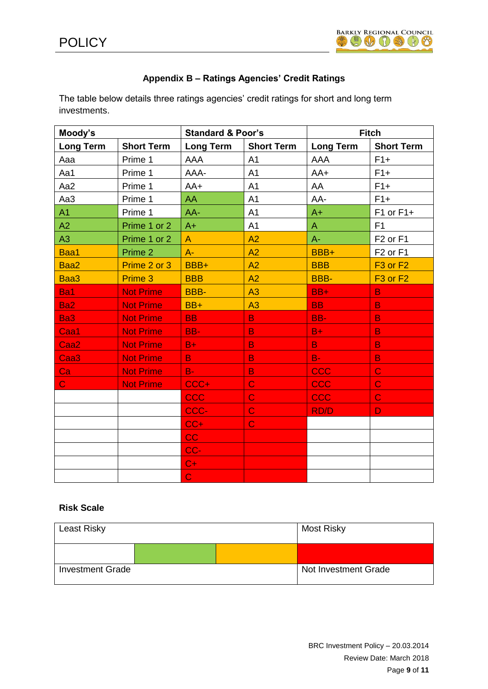

# **Appendix B – Ratings Agencies' Credit Ratings**

The table below details three ratings agencies' credit ratings for short and long term investments.

| Moody's          |                   | <b>Standard &amp; Poor's</b> |                   | <b>Fitch</b>     |                                  |
|------------------|-------------------|------------------------------|-------------------|------------------|----------------------------------|
| <b>Long Term</b> | <b>Short Term</b> | <b>Long Term</b>             | <b>Short Term</b> | <b>Long Term</b> | <b>Short Term</b>                |
| Aaa              | Prime 1           | <b>AAA</b>                   | A <sub>1</sub>    | <b>AAA</b>       | $F1+$                            |
| Aa1              | Prime 1           | AAA-                         | A <sub>1</sub>    | $AA+$            | $F1+$                            |
| Aa2              | Prime 1           | $AA+$                        | A1                | AA               | $F1+$                            |
| Aa3              | Prime 1           | AA                           | A <sub>1</sub>    | AA-              | $F1+$                            |
| A1               | Prime 1           | AA-                          | A <sub>1</sub>    | $A+$             | $F1$ or $F1+$                    |
| A2               | Prime 1 or 2      | $A+$                         | A1                | $\mathsf{A}$     | F <sub>1</sub>                   |
| A3               | Prime 1 or 2      | $\overline{A}$               | A2                | $A -$            | F <sub>2</sub> or F <sub>1</sub> |
| Baa1             | Prime 2           | $A -$                        | A2                | BBB+             | F <sub>2</sub> or F <sub>1</sub> |
| Baa2             | Prime 2 or 3      | BBB+                         | A2                | <b>BBB</b>       | F <sub>3</sub> or F <sub>2</sub> |
| Baa3             | Prime 3           | <b>BBB</b>                   | A2                | <b>BBB-</b>      | F <sub>3</sub> or F <sub>2</sub> |
| Ba1              | <b>Not Prime</b>  | <b>BBB-</b>                  | A3                | $BB+$            | $\overline{B}$                   |
| Ba <sub>2</sub>  | <b>Not Prime</b>  | BB+                          | A3                | <b>BB</b>        | $\overline{B}$                   |
| Ba <sub>3</sub>  | <b>Not Prime</b>  | <b>BB</b>                    | B.                | BB-              | B                                |
| Caa1             | <b>Not Prime</b>  | BB-                          | B                 | $B+$             | $\overline{B}$                   |
| Caa <sub>2</sub> | <b>Not Prime</b>  | $B +$                        | $\overline{B}$    | B                | $\overline{B}$                   |
| Caa <sub>3</sub> | <b>Not Prime</b>  | B                            | B                 | $B-$             | $\mathsf B$                      |
| Ca               | <b>Not Prime</b>  | $B-$                         | $\overline{B}$    | <b>CCC</b>       | $\overline{C}$                   |
| $\mathbf C$      | <b>Not Prime</b>  | CCC+                         | $\overline{C}$    | CCC              | $\mathbf C$                      |
|                  |                   | <b>CCC</b>                   | $\overline{C}$    | CCC              | $\mathbf C$                      |
|                  |                   | CCC-                         | $\mathbf C$       | <b>RD/D</b>      | D                                |
|                  |                   | $CC+$                        | $\mathbf C$       |                  |                                  |
|                  |                   | cc                           |                   |                  |                                  |
|                  |                   | CC-                          |                   |                  |                                  |
|                  |                   | $C+$                         |                   |                  |                                  |
|                  |                   | $\overline{C}$               |                   |                  |                                  |

## **Risk Scale**

| Least Risky             |  | Most Risky           |
|-------------------------|--|----------------------|
|                         |  |                      |
| <b>Investment Grade</b> |  | Not Investment Grade |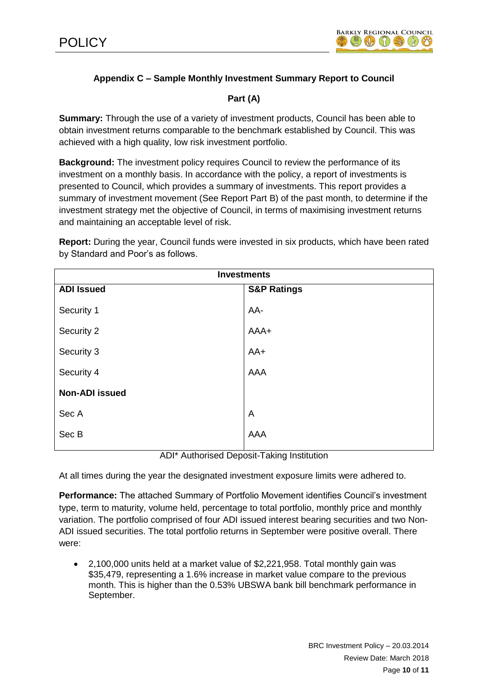# **Appendix C – Sample Monthly Investment Summary Report to Council**

# **Part (A)**

**Summary:** Through the use of a variety of investment products, Council has been able to obtain investment returns comparable to the benchmark established by Council. This was achieved with a high quality, low risk investment portfolio.

**Background:** The investment policy requires Council to review the performance of its investment on a monthly basis. In accordance with the policy, a report of investments is presented to Council, which provides a summary of investments. This report provides a summary of investment movement (See Report Part B) of the past month, to determine if the investment strategy met the objective of Council, in terms of maximising investment returns and maintaining an acceptable level of risk.

**Report:** During the year, Council funds were invested in six products, which have been rated by Standard and Poor's as follows.

| <b>Investments</b>    |                        |  |
|-----------------------|------------------------|--|
| <b>ADI Issued</b>     | <b>S&amp;P Ratings</b> |  |
| Security 1            | AA-                    |  |
| Security 2            | AAA+                   |  |
| Security 3            | $AA+$                  |  |
| Security 4            | AAA                    |  |
| <b>Non-ADI issued</b> |                        |  |
| Sec A                 | A                      |  |
| Sec B                 | <b>AAA</b>             |  |
|                       |                        |  |

ADI\* Authorised Deposit-Taking Institution

At all times during the year the designated investment exposure limits were adhered to.

**Performance:** The attached Summary of Portfolio Movement identifies Council's investment type, term to maturity, volume held, percentage to total portfolio, monthly price and monthly variation. The portfolio comprised of four ADI issued interest bearing securities and two Non-ADI issued securities. The total portfolio returns in September were positive overall. There were:

 2,100,000 units held at a market value of \$2,221,958. Total monthly gain was \$35,479, representing a 1.6% increase in market value compare to the previous month. This is higher than the 0.53% UBSWA bank bill benchmark performance in September.